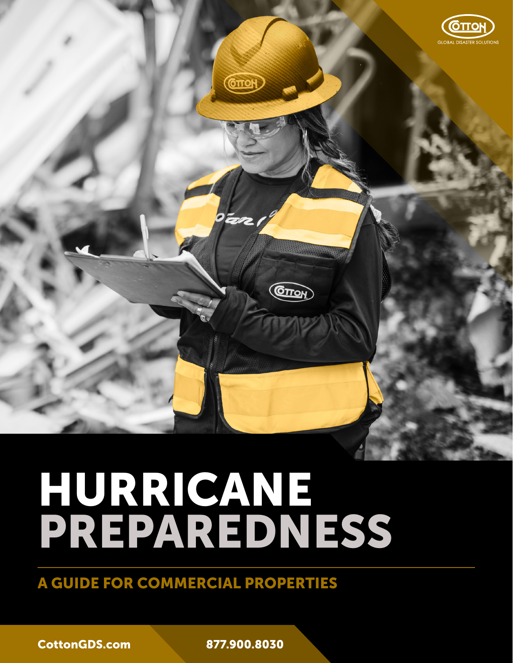

# HURRICANE PREPAREDNESS

A GUIDE FOR COMMERCIAL PROPERTIES

[CottonGDS.com](https://cottongds.com/) 877.900.8030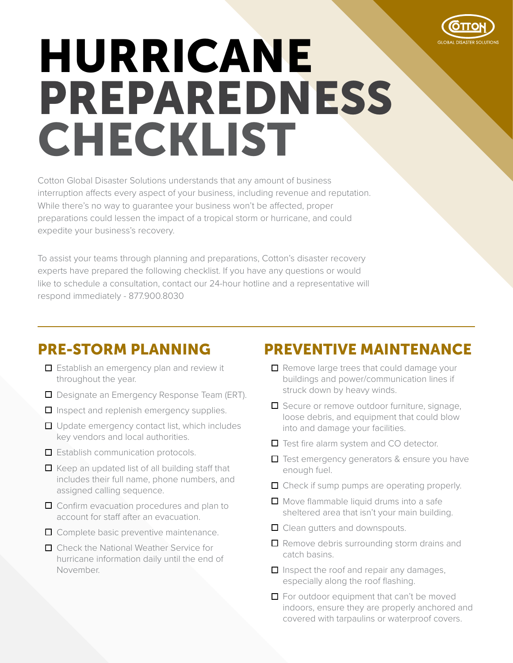

# HURRICANE PREPAREDNESS CHECKLIST

Cotton Global Disaster Solutions understands that any amount of business interruption affects every aspect of your business, including revenue and reputation. While there's no way to guarantee your business won't be affected, proper preparations could lessen the impact of a tropical storm or hurricane, and could expedite your business's recovery.

To assist your teams through planning and preparations, Cotton's disaster recovery experts have prepared the following checklist. If you have any questions or would like to schedule a consultation, contact our 24-hour hotline and a representative will respond immediately - 877.900.8030

## PRE-STORM PLANNING

- $\Box$  Establish an emergency plan and review it throughout the year.
- Designate an Emergency Response Team (ERT).
- $\Box$  Inspect and replenish emergency supplies.
- $\Box$  Update emergency contact list, which includes key vendors and local authorities.
- $\Box$  Establish communication protocols.
- $\Box$  Keep an updated list of all building staff that includes their full name, phone numbers, and assigned calling sequence.
- □ Confirm evacuation procedures and plan to account for staff after an evacuation.
- □ Complete basic preventive maintenance.
- □ Check the National Weather Service for hurricane information daily until the end of November.

## PREVENTIVE MAINTENANCE

- $\Box$  Remove large trees that could damage your buildings and power/communication lines if struck down by heavy winds.
- □ Secure or remove outdoor furniture, signage, loose debris, and equipment that could blow into and damage your facilities.
- Test fire alarm system and CO detector.
- $\Box$  Test emergency generators & ensure you have enough fuel.
- $\Box$  Check if sump pumps are operating properly.
- $\Box$  Move flammable liquid drums into a safe sheltered area that isn't your main building.
- **□** Clean gutters and downspouts.
- $\Box$  Remove debris surrounding storm drains and catch basins.
- $\Box$  Inspect the roof and repair any damages, especially along the roof flashing.
- $\Box$  For outdoor equipment that can't be moved indoors, ensure they are properly anchored and covered with tarpaulins or waterproof covers.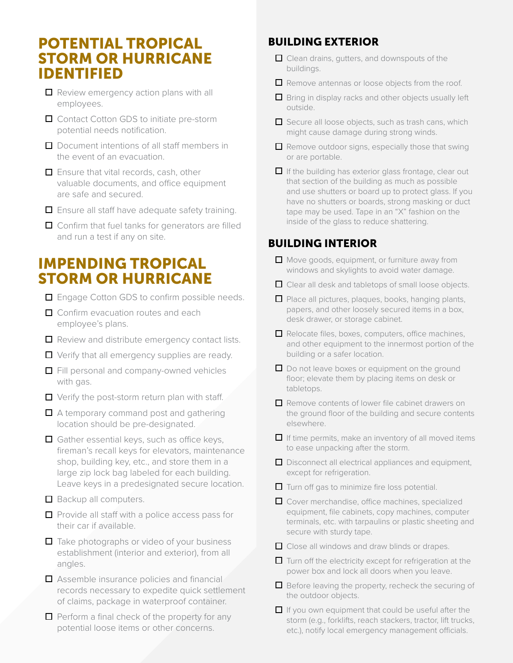### POTENTIAL TROPICAL STORM OR HURRICANE IDENTIFIED

- Review emergency action plans with all employees.
- □ Contact Cotton GDS to initiate pre-storm potential needs notification.
- $\Box$  Document intentions of all staff members in the event of an evacuation.
- $\Box$  Ensure that vital records, cash, other valuable documents, and office equipment are safe and secured.
- $\Box$  Ensure all staff have adequate safety training.
- □ Confirm that fuel tanks for generators are filled and run a test if any on site.

## IMPENDING TROPICAL STORM OR HURRICANE

- □ Engage Cotton GDS to confirm possible needs.
- □ Confirm evacuation routes and each employee's plans.
- $\Box$  Review and distribute emergency contact lists.
- $\Box$  Verify that all emergency supplies are ready.
- Fill personal and company-owned vehicles with gas.
- $\Box$  Verify the post-storm return plan with staff.
- $\Box$  A temporary command post and gathering location should be pre-designated.
- $\Box$  Gather essential keys, such as office keys, fireman's recall keys for elevators, maintenance shop, building key, etc., and store them in a large zip lock bag labeled for each building. Leave keys in a predesignated secure location.
- $\Box$  Backup all computers.
- $\Box$  Provide all staff with a police access pass for their car if available.
- $\Box$  Take photographs or video of your business establishment (interior and exterior), from all angles.
- $\Box$  Assemble insurance policies and financial records necessary to expedite quick settlement of claims, package in waterproof container.
- $\Box$  Perform a final check of the property for any potential loose items or other concerns.

#### BUILDING EXTERIOR

- □ Clean drains, gutters, and downspouts of the buildings.
- Remove antennas or loose objects from the roof.
- $\Box$  Bring in display racks and other objects usually left outside.
- $\Box$  Secure all loose objects, such as trash cans, which might cause damage during strong winds.
- $\Box$  Remove outdoor signs, especially those that swing or are portable.
- $\Box$  If the building has exterior glass frontage, clear out that section of the building as much as possible and use shutters or board up to protect glass. If you have no shutters or boards, strong masking or duct tape may be used. Tape in an "X" fashion on the inside of the glass to reduce shattering.

#### BUILDING INTERIOR

- $\Box$  Move goods, equipment, or furniture away from windows and skylights to avoid water damage.
- □ Clear all desk and tabletops of small loose objects.
- $\Box$  Place all pictures, plaques, books, hanging plants, papers, and other loosely secured items in a box, desk drawer, or storage cabinet.
- $\Box$  Relocate files, boxes, computers, office machines, and other equipment to the innermost portion of the building or a safer location.
- $\Box$  Do not leave boxes or equipment on the ground floor; elevate them by placing items on desk or tabletops.
- Remove contents of lower file cabinet drawers on the ground floor of the building and secure contents elsewhere.
- $\Box$  If time permits, make an inventory of all moved items to ease unpacking after the storm.
- $\Box$  Disconnect all electrical appliances and equipment, except for refrigeration.
- $\Box$  Turn off gas to minimize fire loss potential.
- □ Cover merchandise, office machines, specialized equipment, file cabinets, copy machines, computer terminals, etc. with tarpaulins or plastic sheeting and secure with sturdy tape.
- □ Close all windows and draw blinds or drapes.
- $\Box$  Turn off the electricity except for refrigeration at the power box and lock all doors when you leave.
- $\Box$  Before leaving the property, recheck the securing of the outdoor objects.
- $\Box$  If you own equipment that could be useful after the storm (e.g., forklifts, reach stackers, tractor, lift trucks, etc.), notify local emergency management officials.